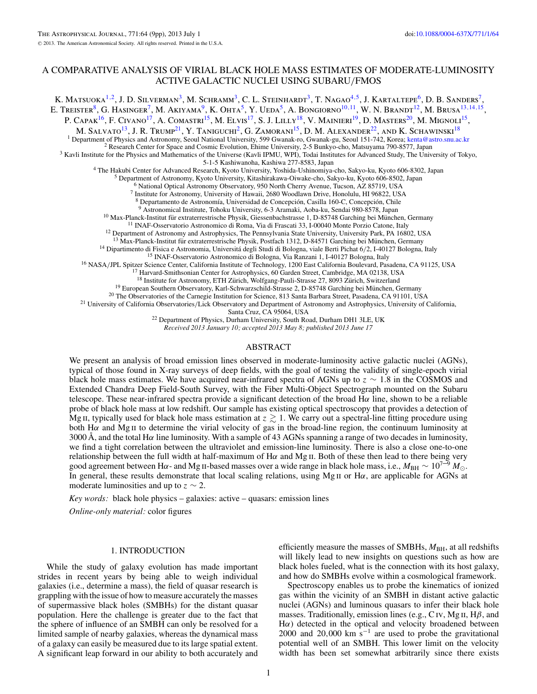K. Matsuoka<sup>1,2</sup>, J. D. Silverman<sup>3</sup>, M. Schramm<sup>3</sup>, C. L. Steinhardt<sup>3</sup>, T. Nagao<sup>4,5</sup>, J. Kartaltepe<sup>6</sup>, D. B. Sanders<sup>7</sup>, E. Treister<sup>8</sup>, G. Hasinger<sup>7</sup>, M. Akiyama<sup>9</sup>, K. Ohta<sup>5</sup>, Y. Ueda<sup>5</sup>, A. Bongiorno<sup>10,11</sup>, W. N. Brandt<sup>12</sup>, M. Brusa<sup>13,14,15</sup>, P. Capak<sup>16</sup>, F. Civano<sup>17</sup>, A. Comastri<sup>15</sup>, M. Elvis<sup>17</sup>, S. J. Lilly<sup>18</sup>, V. Mainieri<sup>19</sup>, D. Masters<sup>20</sup>, M. Mignoli<sup>15</sup>, M. SALVATO<sup>13</sup>, J. R. TRUMP<sup>21</sup>, Y. TANIGUCHI<sup>2</sup>, G. ZAMORANI<sup>15</sup>, D. M. ALEXANDER<sup>22</sup>, AND K. SCHAWINSKI<sup>18</sup><br><sup>1</sup> Department of Physics and Astronomy, Seoul National University, 599 Gwanak-ro, Gwanak-gu, Seoul 151-742, Ko <sup>2</sup> Research Center for Space and Cosmic Evolution, Ehime University, 2-5 Bunkyo-cho, Matsuyama 790-8577, Japan<br><sup>3</sup> Kavli Institute for the Physics and Mathematics of the Universe (Kavli IPMU, WPI), Todai Institutes for Ad <sup>4</sup> The Hakubi Center for Advanced Research, Kyoto University, Yoshida-Ushinomiya-cho, Sakyo-ku, Kyoto 606-8302, Japan <sup>5</sup> Department of Astronomy, Kyoto University, Kitashirakawa-Oiwake-cho, Sakyo-ku, Kyoto 606-8502, Jap <sup>9</sup> Astronomical Institute, Tohoku University, 6-3 Aramaki, Aoba-ku, Sendai 980-8578, Japan<br><sup>10</sup> Max-Planck-Institut für extraterrestrische Physik, Giessenbachstrasse 1, D-85748 Garching bei München, Germany<br><sup>11</sup> INAF-Oss <sup>14</sup> Dipartimento di Fisica e Astronomia, Universitá degli Studi di Bologna, viale Berti Pichat 6/2, I-40127 Bologna, Italy<br><sup>15</sup> INAF-Osservatorio Astronomico di Bologna, Via Ranzani 1, I-40127 Bologna, Italy<br><sup>16</sup> NASA/JP <sup>19</sup> European Southern Observatory, Karl-Schwarzschild-Strasse 2, D-85748 Garching bei München, Germany<br><sup>20</sup> The Observatories of the Carnegie Institution for Science, 813 Santa Barbara Street, Pasadena, CA 91101, USA<br><sup>21</sup>

<sup>22</sup> Department of Physics, Durham University, South Road, Durham DH1 3LE, UK

*Received 2013 January 10; accepted 2013 May 8; published 2013 June 17*

## ABSTRACT

We present an analysis of broad emission lines observed in moderate-luminosity active galactic nuclei (AGNs), typical of those found in X-ray surveys of deep fields, with the goal of testing the validity of single-epoch virial black hole mass estimates. We have acquired near-infrared spectra of AGNs up to *z* ∼ 1*.*8 in the COSMOS and Extended Chandra Deep Field-South Survey, with the Fiber Multi-Object Spectrograph mounted on the Subaru telescope. These near-infrared spectra provide a significant detection of the broad H*α* line, shown to be a reliable probe of black hole mass at low redshift. Our sample has existing optical spectroscopy that provides a detection of Mg II, typically used for black hole mass estimation at  $z \gtrsim 1$ . We carry out a spectral-line fitting procedure using both H $\alpha$  and Mg ii to determine the virial velocity of gas in the broad-line region, the continuum luminosity at 3000 Å, and the total H*α* line luminosity. With a sample of 43 AGNs spanning a range of two decades in luminosity, we find a tight correlation between the ultraviolet and emission-line luminosity. There is also a close one-to-one relationship between the full width at half-maximum of H*α* and Mg ii. Both of these then lead to there being very good agreement between Hα- and Mg II-based masses over a wide range in black hole mass, i.e.,  $M_{BH} \sim 10^{7-9} M_{\odot}$ . In general, these results demonstrate that local scaling relations, using Mg II or  $H\alpha$ , are applicable for AGNs at moderate luminosities and up to  $z \sim 2$ .

*Key words:* black hole physics – galaxies: active – quasars: emission lines

*Online-only material:* color figures

# 1. INTRODUCTION

While the study of galaxy evolution has made important strides in recent years by being able to weigh individual galaxies (i.e., determine a mass), the field of quasar research is grappling with the issue of how to measure accurately the masses of supermassive black holes (SMBHs) for the distant quasar population. Here the challenge is greater due to the fact that the sphere of influence of an SMBH can only be resolved for a limited sample of nearby galaxies, whereas the dynamical mass of a galaxy can easily be measured due to its large spatial extent. A significant leap forward in our ability to both accurately and

efficiently measure the masses of SMBHs,  $M_{BH}$ , at all redshifts will likely lead to new insights on questions such as how are black holes fueled, what is the connection with its host galaxy, and how do SMBHs evolve within a cosmological framework.

Spectroscopy enables us to probe the kinematics of ionized gas within the vicinity of an SMBH in distant active galactic nuclei (AGNs) and luminous quasars to infer their black hole masses. Traditionally, emission lines (e.g., Civ, Mg ii, H*β*, and  $H\alpha$ ) detected in the optical and velocity broadened between 2000 and 20,000 km s<sup> $-1$ </sup> are used to probe the gravitational potential well of an SMBH. This lower limit on the velocity width has been set somewhat arbitrarily since there exists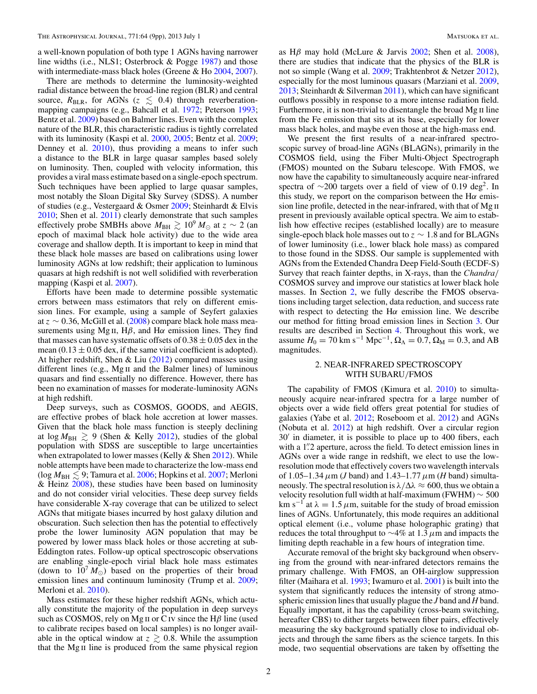a well-known population of both type 1 AGNs having narrower line widths (i.e., NLS1; Osterbrock & Pogge [1987\)](#page-8-0) and those with intermediate-mass black holes (Greene & Ho [2004,](#page-8-0) [2007\)](#page-8-0).

There are methods to determine the luminosity-weighted radial distance between the broad-line region (BLR) and central source,  $R_{BLR}$ , for AGNs ( $z \leq 0.4$ ) through reverberationmapping campaigns (e.g., Bahcall et al. [1972;](#page-8-0) Peterson [1993;](#page-8-0) Bentz et al. [2009\)](#page-8-0) based on Balmer lines. Even with the complex nature of the BLR, this characteristic radius is tightly correlated with its luminosity (Kaspi et al. [2000,](#page-8-0) [2005;](#page-8-0) Bentz et al. [2009;](#page-8-0) Denney et al. [2010\)](#page-8-0), thus providing a means to infer such a distance to the BLR in large quasar samples based solely on luminosity. Then, coupled with velocity information, this provides a viral mass estimate based on a single-epoch spectrum. Such techniques have been applied to large quasar samples, most notably the Sloan Digital Sky Survey (SDSS). A number of studies (e.g., Vestergaard & Osmer [2009;](#page-8-0) Steinhardt & Elvis [2010;](#page-8-0) Shen et al. [2011\)](#page-8-0) clearly demonstrate that such samples effectively probe SMBHs above  $M_{BH} \gtrsim 10^9 M_{\odot}$  at  $z \sim 2$  (an epoch of maximal black hole activity) due to the wide area coverage and shallow depth. It is important to keep in mind that these black hole masses are based on calibrations using lower luminosity AGNs at low redshift; their application to luminous quasars at high redshift is not well solidified with reverberation mapping (Kaspi et al. [2007\)](#page-8-0).

Efforts have been made to determine possible systematic errors between mass estimators that rely on different emission lines. For example, using a sample of Seyfert galaxies at *z* ∼ 0*.*36, McGill et al. [\(2008\)](#page-8-0) compare black hole mass measurements using Mg ii, H*β*, and H*α* emission lines. They find that masses can have systematic offsets of  $0.38 \pm 0.05$  dex in the mean  $(0.13 \pm 0.05$  dex, if the same virial coefficient is adopted). At higher redshift, Shen & Liu [\(2012\)](#page-8-0) compared masses using different lines (e.g., Mg ii and the Balmer lines) of luminous quasars and find essentially no difference. However, there has been no examination of masses for moderate-luminosity AGNs at high redshift.

Deep surveys, such as COSMOS, GOODS, and AEGIS, are effective probes of black hole accretion at lower masses. Given that the black hole mass function is steeply declining at  $\log M_{\rm BH} \gtrsim 9$  (Shen & Kelly [2012\)](#page-8-0), studies of the global population with SDSS are susceptible to large uncertainties when extrapolated to lower masses (Kelly & Shen [2012\)](#page-8-0). While noble attempts have been made to characterize the low-mass end (log  $M_{\rm BH} \lesssim 9$ ; Tamura et al. [2006;](#page-8-0) Hopkins et al. [2007;](#page-8-0) Merloni & Heinz [2008\)](#page-8-0), these studies have been based on luminosity and do not consider virial velocities. These deep survey fields have considerable X-ray coverage that can be utilized to select AGNs that mitigate biases incurred by host galaxy dilution and obscuration. Such selection then has the potential to effectively probe the lower luminosity AGN population that may be powered by lower mass black holes or those accreting at sub-Eddington rates. Follow-up optical spectroscopic observations are enabling single-epoch virial black hole mass estimates (down to  $10^{7} M_{\odot}$ ) based on the properties of their broad emission lines and continuum luminosity (Trump et al. [2009;](#page-8-0) Merloni et al. [2010\)](#page-8-0).

Mass estimates for these higher redshift AGNs, which actually constitute the majority of the population in deep surveys such as COSMOS, rely on Mg ii or Civ since the H*β* line (used to calibrate recipes based on local samples) is no longer available in the optical window at  $z \gtrsim 0.8$ . While the assumption that the Mg II line is produced from the same physical region as H*β* may hold (McLure & Jarvis [2002;](#page-8-0) Shen et al. [2008\)](#page-8-0), there are studies that indicate that the physics of the BLR is not so simple (Wang et al. [2009;](#page-8-0) Trakhtenbrot & Netzer [2012\)](#page-8-0), especially for the most luminous quasars (Marziani et al. [2009,](#page-8-0) [2013;](#page-8-0) Steinhardt & Silverman  $2011$ ), which can have significant outflows possibly in response to a more intense radiation field. Furthermore, it is non-trivial to disentangle the broad Mg II line from the Fe emission that sits at its base, especially for lower mass black holes, and maybe even those at the high-mass end.

We present the first results of a near-infrared spectroscopic survey of broad-line AGNs (BLAGNs), primarily in the COSMOS field, using the Fiber Multi-Object Spectrograph (FMOS) mounted on the Subaru telescope. With FMOS, we now have the capability to simultaneously acquire near-infrared spectra of  $\sim$ 200 targets over a field of view of 0.19 deg<sup>2</sup>. In this study, we report on the comparison between the H $\alpha$  emission line profile, detected in the near-infrared, with that of Mg ii present in previously available optical spectra. We aim to establish how effective recipes (established locally) are to measure single-epoch black hole masses out to  $z \sim 1.8$  and for BLAGNs of lower luminosity (i.e., lower black hole mass) as compared to those found in the SDSS. Our sample is supplemented with AGNs from the Extended Chandra Deep Field-South (ECDF-S) Survey that reach fainter depths, in X-rays, than the *Chandra/* COSMOS survey and improve our statistics at lower black hole masses. In Section 2, we fully describe the FMOS observations including target selection, data reduction, and success rate with respect to detecting the H $\alpha$  emission line. We describe our method for fitting broad emission lines in Section [3.](#page-3-0) Our results are described in Section [4.](#page-4-0) Throughout this work, we assume  $H_0 = 70$  km s<sup>-1</sup> Mpc<sup>-1</sup>,  $\Omega_{\Lambda} = 0.7$ ,  $\Omega_{\text{M}} = 0.3$ , and AB magnitudes.

## 2. NEAR-INFRARED SPECTROSCOPY WITH SUBARU*/*FMOS

The capability of FMOS (Kimura et al. [2010\)](#page-8-0) to simultaneously acquire near-infrared spectra for a large number of objects over a wide field offers great potential for studies of galaxies (Yabe et al. [2012;](#page-8-0) Roseboom et al. [2012\)](#page-8-0) and AGNs (Nobuta et al. [2012\)](#page-8-0) at high redshift. Over a circular region 30 in diameter, it is possible to place up to 400 fibers, each with a 1<sup>"</sup>. 2 aperture, across the field. To detect emission lines in AGNs over a wide range in redshift, we elect to use the lowresolution mode that effectively covers two wavelength intervals of 1*.*05–1*.*34*μ*m (*J* band) and 1*.*43–1*.*77*μ*m (*H* band) simultaneously. The spectral resolution is  $\lambda/\Delta\lambda \approx 600$ , thus we obtain a velocity resolution full width at half-maximum (FWHM)  $\sim$  500 km s<sup>-1</sup> at  $\lambda = 1.5 \mu$ m, suitable for the study of broad emission lines of AGNs. Unfortunately, this mode requires an additional optical element (i.e., volume phase holographic grating) that reduces the total throughput to ∼4% at 1.3*μ*m and impacts the limiting depth reachable in a few hours of integration time.

Accurate removal of the bright sky background when observing from the ground with near-infrared detectors remains the primary challenge. With FMOS, an OH-airglow suppression filter (Maihara et al. [1993;](#page-8-0) Iwamuro et al. [2001\)](#page-8-0) is built into the system that significantly reduces the intensity of strong atmospheric emission lines that usually plague the *J* band and *H* band. Equally important, it has the capability (cross-beam switching, hereafter CBS) to dither targets between fiber pairs, effectively measuring the sky background spatially close to individual objects and through the same fibers as the science targets. In this mode, two sequential observations are taken by offsetting the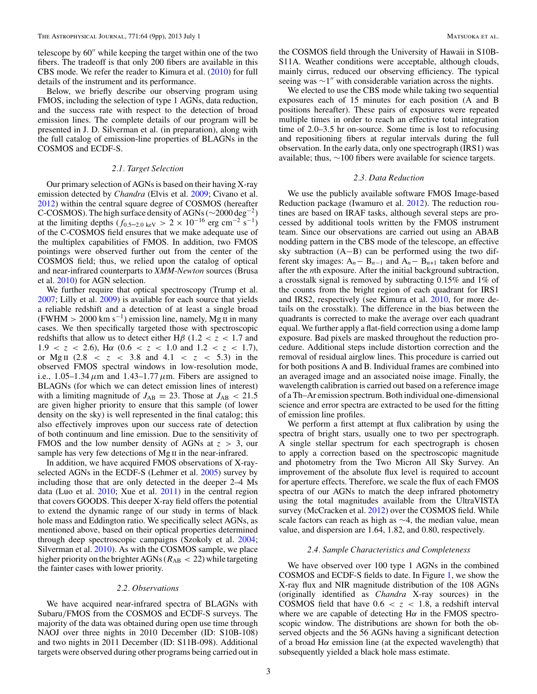telescope by 60" while keeping the target within one of the two fibers. The tradeoff is that only 200 fibers are available in this CBS mode. We refer the reader to Kimura et al. [\(2010\)](#page-8-0) for full details of the instrument and its performance.

Below, we briefly describe our observing program using FMOS, including the selection of type 1 AGNs, data reduction, and the success rate with respect to the detection of broad emission lines. The complete details of our program will be presented in J. D. Silverman et al. (in preparation), along with the full catalog of emission-line properties of BLAGNs in the COSMOS and ECDF-S.

## *2.1. Target Selection*

Our primary selection of AGNs is based on their having X-ray emission detected by *Chandra* (Elvis et al. [2009;](#page-8-0) Civano et al. [2012\)](#page-8-0) within the central square degree of COSMOS (hereafter C-COSMOS). The high surface density of AGNs (∼2000 deg−2) at the limiting depths  $(f_{0.5-2.0 \text{ keV}} > 2 \times 10^{-16} \text{ erg cm}^{-2} \text{ s}^{-1})$ of the C-COSMOS field ensures that we make adequate use of the multiplex capabilities of FMOS. In addition, two FMOS pointings were observed further out from the center of the COSMOS field; thus, we relied upon the catalog of optical and near-infrared counterparts to *XMM-Newton* sources (Brusa et al. [2010\)](#page-8-0) for AGN selection.

We further require that optical spectroscopy (Trump et al. [2007;](#page-8-0) Lilly et al. [2009\)](#page-8-0) is available for each source that yields a reliable redshift and a detection of at least a single broad (FWHM  $> 2000 \text{ km s}^{-1}$ ) emission line, namely, Mg II in many cases. We then specifically targeted those with spectroscopic redshifts that allow us to detect either H $\beta$  (1.2 < *z* < 1.7 and  $1.9 < z < 2.6$ ), H $\alpha$  (0.6  $< z < 1.0$  and  $1.2 < z < 1.7$ ), or Mg<sub>II</sub> (2.8  $\lt z \lt 3.8$  and 4.1  $\lt z \lt 5.3$ ) in the observed FMOS spectral windows in low-resolution mode, i.e.,  $1.05-1.34 \mu m$  and  $1.43-1.77 \mu m$ . Fibers are assigned to BLAGNs (for which we can detect emission lines of interest) with a limiting magnitude of  $J_{AB} = 23$ . Those at  $J_{AB} < 21.5$ are given higher priority to ensure that this sample (of lower density on the sky) is well represented in the final catalog; this also effectively improves upon our success rate of detection of both continuum and line emission. Due to the sensitivity of FMOS and the low number density of AGNs at *z >* 3, our sample has very few detections of Mg II in the near-infrared.

In addition, we have acquired FMOS observations of X-rayselected AGNs in the ECDF-S (Lehmer et al. [2005\)](#page-8-0) survey by including those that are only detected in the deeper 2–4 Ms data (Luo et al. [2010;](#page-8-0) Xue et al. [2011\)](#page-8-0) in the central region that covers GOODS. This deeper X-ray field offers the potential to extend the dynamic range of our study in terms of black hole mass and Eddington ratio. We specifically select AGNs, as mentioned above, based on their optical properties determined through deep spectroscopic campaigns (Szokoly et al. [2004;](#page-8-0) Silverman et al. [2010\)](#page-8-0). As with the COSMOS sample, we place higher priority on the brighter AGNs ( $R_{AB}$  < 22) while targeting the fainter cases with lower priority.

#### *2.2. Observations*

We have acquired near-infrared spectra of BLAGNs with Subaru*/*FMOS from the COSMOS and ECDF-S surveys. The majority of the data was obtained during open use time through NAOJ over three nights in 2010 December (ID: S10B-108) and two nights in 2011 December (ID: S11B-098). Additional targets were observed during other programs being carried out in

the COSMOS field through the University of Hawaii in S10B-S11A. Weather conditions were acceptable, although clouds, mainly cirrus, reduced our observing efficiency. The typical seeing was  $\sim$ 1" with considerable variation across the nights.

We elected to use the CBS mode while taking two sequential exposures each of 15 minutes for each position (A and B positions hereafter). These pairs of exposures were repeated multiple times in order to reach an effective total integration time of 2*.*0–3*.*5 hr on-source. Some time is lost to refocusing and repositioning fibers at regular intervals during the full observation. In the early data, only one spectrograph (IRS1) was available; thus, ∼100 fibers were available for science targets.

## *2.3. Data Reduction*

We use the publicly available software FMOS Image-based Reduction package (Iwamuro et al. [2012\)](#page-8-0). The reduction routines are based on IRAF tasks, although several steps are processed by additional tools written by the FMOS instrument team. Since our observations are carried out using an ABAB nodding pattern in the CBS mode of the telescope, an effective sky subtraction (A−B) can be performed using the two different sky images:  $A_n - B_{n-1}$  and  $A_n - B_{n+1}$  taken before and after the *n*th exposure. After the initial background subtraction, a crosstalk signal is removed by subtracting 0.15% and 1% of the counts from the bright region of each quadrant for IRS1 and IRS2, respectively (see Kimura et al. [2010,](#page-8-0) for more details on the crosstalk). The difference in the bias between the quadrants is corrected to make the average over each quadrant equal. We further apply a flat-field correction using a dome lamp exposure. Bad pixels are masked throughout the reduction procedure. Additional steps include distortion correction and the removal of residual airglow lines. This procedure is carried out for both positions A and B. Individual frames are combined into an averaged image and an associated noise image. Finally, the wavelength calibration is carried out based on a reference image of a Th–Ar emission spectrum. Both individual one-dimensional science and error spectra are extracted to be used for the fitting of emission line profiles.

We perform a first attempt at flux calibration by using the spectra of bright stars, usually one to two per spectrograph. A single stellar spectrum for each spectrograph is chosen to apply a correction based on the spectroscopic magnitude and photometry from the Two Micron All Sky Survey. An improvement of the absolute flux level is required to account for aperture effects. Therefore, we scale the flux of each FMOS spectra of our AGNs to match the deep infrared photometry using the total magnitudes available from the UltraVISTA survey (McCracken et al. [2012\)](#page-8-0) over the COSMOS field. While scale factors can reach as high as ∼4, the median value, mean value, and dispersion are 1.64, 1.82, and 0.80, respectively.

#### *2.4. Sample Characteristics and Completeness*

We have observed over 100 type 1 AGNs in the combined COSMOS and ECDF-S fields to date. In Figure [1,](#page-3-0) we show the X-ray flux and NIR magnitude distribution of the 108 AGNs (originally identified as *Chandra* X-ray sources) in the COSMOS field that have  $0.6 < z < 1.8$ , a redshift interval where we are capable of detecting H*α* in the FMOS spectroscopic window. The distributions are shown for both the observed objects and the 56 AGNs having a significant detection of a broad H*α* emission line (at the expected wavelength) that subsequently yielded a black hole mass estimate.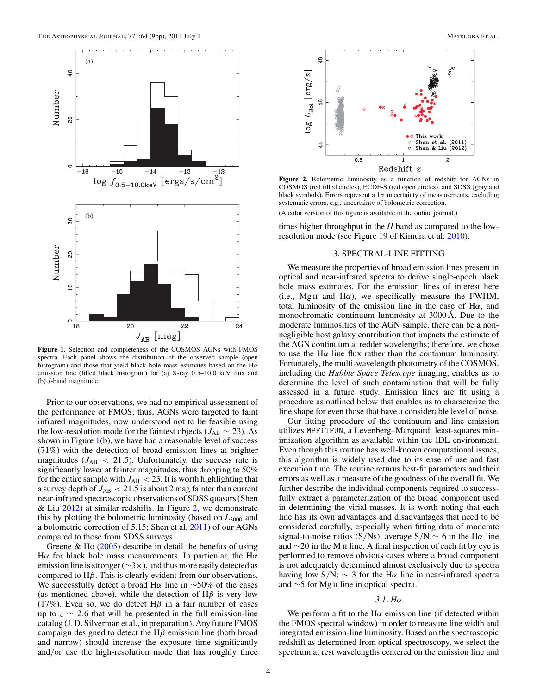<span id="page-3-0"></span>

**Figure 1.** Selection and completeness of the COSMOS AGNs with FMOS spectra. Each panel shows the distribution of the observed sample (open histogram) and those that yield black hole mass estimates based on the H*α* emission line (filled black histogram) for (a) X-ray 0*.*5–10*.*0 keV flux and (b) *J*-band magnitude.

Prior to our observations, we had no empirical assessment of the performance of FMOS; thus, AGNs were targeted to faint infrared magnitudes, now understood not to be feasible using the low-resolution mode for the faintest objects ( $J_{AB} \sim 23$ ). As shown in Figure  $1(b)$ , we have had a reasonable level of success (71%) with the detection of broad emission lines at brighter magnitudes  $(J_{AB} < 21.5)$ . Unfortunately, the success rate is significantly lower at fainter magnitudes, thus dropping to 50% for the entire sample with  $J_{AB}$  < 23. It is worth highlighting that a survey depth of  $J_{AB} < 21.5$  is about 2 mag fainter than current near-infrared spectroscopic observations of SDSS quasars (Shen & Liu  $2012$ ) at similar redshifts. In Figure 2, we demonstrate this by plotting the bolometric luminosity (based on *L*<sup>3000</sup> and a bolometric correction of 5.15; Shen et al. [2011\)](#page-8-0) of our AGNs compared to those from SDSS surveys.

Greene & Ho [\(2005\)](#page-8-0) describe in detail the benefits of using H*α* for black hole mass measurements. In particular, the H*α* emission line is stronger ( $\sim$ 3×), and thus more easily detected as compared to H*β*. This is clearly evident from our observations. We successfully detect a broad H*α* line in ∼50% of the cases (as mentioned above), while the detection of H*β* is very low (17%). Even so, we do detect H $\beta$  in a fair number of cases up to  $z \sim 2.6$  that will be presented in the full emission-line catalog (J. D. Silverman et al., in preparation). Any future FMOS campaign designed to detect the H*β* emission line (both broad and narrow) should increase the exposure time significantly and*/*or use the high-resolution mode that has roughly three



**Figure 2.** Bolometric luminosity as a function of redshift for AGNs in COSMOS (red filled circles), ECDF-S (red open circles), and SDSS (gray and black symbols). Errors represent a  $1\sigma$  uncertainty of measurements, excluding systematic errors, e.g., uncertainty of bolometric correction. (A color version of this figure is available in the online journal.)

times higher throughput in the *H* band as compared to the lowresolution mode (see Figure 19 of Kimura et al. [2010\)](#page-8-0).

## 3. SPECTRAL-LINE FITTING

We measure the properties of broad emission lines present in optical and near-infrared spectra to derive single-epoch black hole mass estimates. For the emission lines of interest here (i.e., Mg<sub>II</sub> and H $\alpha$ ), we specifically measure the FWHM, total luminosity of the emission line in the case of  $H\alpha$ , and monochromatic continuum luminosity at 3000 Å. Due to the moderate luminosities of the AGN sample, there can be a nonnegligible host galaxy contribution that impacts the estimate of the AGN continuum at redder wavelengths; therefore, we chose to use the H $\alpha$  line flux rather than the continuum luminosity. Fortunately, the multi-wavelength photometry of the COSMOS, including the *Hubble Space Telescope* imaging, enables us to determine the level of such contamination that will be fully assessed in a future study. Emission lines are fit using a procedure as outlined below that enables us to characterize the line shape for even those that have a considerable level of noise.

Our fitting procedure of the continuum and line emission utilizes MPFITFUN, a Levenberg–Marquardt least-squares minimization algorithm as available within the IDL environment. Even though this routine has well-known computational issues, this algorithm is widely used due to its ease of use and fast execution time. The routine returns best-fit parameters and their errors as well as a measure of the goodness of the overall fit. We further describe the individual components required to successfully extract a parameterization of the broad component used in determining the virial masses. It is worth noting that each line has its own advantages and disadvantages that need to be considered carefully, especially when fitting data of moderate signal-to-noise ratios (S/Ns); average  $S/N \sim 6$  in the H $\alpha$  line and  $\sim$ 20 in the M  $\text{II}$  line. A final inspection of each fit by eye is performed to remove obvious cases where a broad component is not adequately determined almost exclusively due to spectra having low  $S/N$ ;  $\sim$  3 for the H $\alpha$  line in near-infrared spectra and ∼5 for Mg ii line in optical spectra.

#### *3.1. Hα*

We perform a fit to the H*α* emission line (if detected within the FMOS spectral window) in order to measure line width and integrated emission-line luminosity. Based on the spectroscopic redshift as determined from optical spectroscopy, we select the spectrum at rest wavelengths centered on the emission line and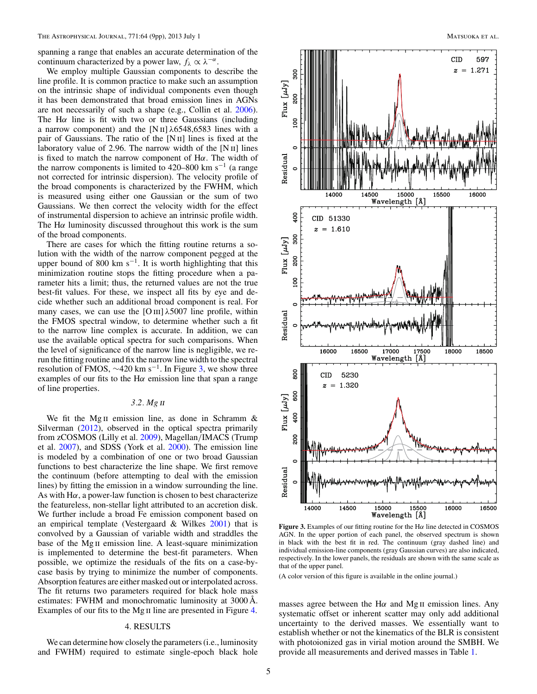<span id="page-4-0"></span>spanning a range that enables an accurate determination of the continuum characterized by a power law,  $f_\lambda \propto \lambda^{-\alpha}$ .

We employ multiple Gaussian components to describe the line profile. It is common practice to make such an assumption on the intrinsic shape of individual components even though it has been demonstrated that broad emission lines in AGNs are not necessarily of such a shape (e.g., Collin et al. [2006\)](#page-8-0). The H*α* line is fit with two or three Gaussians (including a narrow component) and the [N ii] *λ*6548,6583 lines with a pair of Gaussians. The ratio of the  $[N II]$  lines is fixed at the laboratory value of 2.96. The narrow width of the  $[N II]$  lines is fixed to match the narrow component of H*α*. The width of the narrow components is limited to 420–800 km s<sup>-1</sup> (a range not corrected for intrinsic dispersion). The velocity profile of the broad components is characterized by the FWHM, which is measured using either one Gaussian or the sum of two Gaussians. We then correct the velocity width for the effect of instrumental dispersion to achieve an intrinsic profile width. The H*α* luminosity discussed throughout this work is the sum of the broad components.

There are cases for which the fitting routine returns a solution with the width of the narrow component pegged at the upper bound of 800 km s<sup> $-1$ </sup>. It is worth highlighting that this minimization routine stops the fitting procedure when a parameter hits a limit; thus, the returned values are not the true best-fit values. For these, we inspect all fits by eye and decide whether such an additional broad component is real. For many cases, we can use the  $[O \text{ III}]$   $\lambda$ 5007 line profile, within the FMOS spectral window, to determine whether such a fit to the narrow line complex is accurate. In addition, we can use the available optical spectra for such comparisons. When the level of significance of the narrow line is negligible, we rerun the fitting routine and fix the narrow line width to the spectral resolution of FMOS,  $\sim$ 420 km s<sup>-1</sup>. In Figure 3, we show three examples of our fits to the H*α* emission line that span a range of line properties.

# *3.2. Mg* ii

We fit the Mg<sub>II</sub> emission line, as done in Schramm  $\&$ Silverman [\(2012\)](#page-8-0), observed in the optical spectra primarily from zCOSMOS (Lilly et al. [2009\)](#page-8-0), Magellan*/*IMACS (Trump et al. [2007\)](#page-8-0), and SDSS (York et al. [2000\)](#page-8-0). The emission line is modeled by a combination of one or two broad Gaussian functions to best characterize the line shape. We first remove the continuum (before attempting to deal with the emission lines) by fitting the emission in a window surrounding the line. As with H*α*, a power-law function is chosen to best characterize the featureless, non-stellar light attributed to an accretion disk. We further include a broad Fe emission component based on an empirical template (Vestergaard  $&$  Wilkes [2001\)](#page-8-0) that is convolved by a Gaussian of variable width and straddles the base of the Mg<sub>II</sub> emission line. A least-square minimization is implemented to determine the best-fit parameters. When possible, we optimize the residuals of the fits on a case-bycase basis by trying to minimize the number of components. Absorption features are either masked out or interpolated across. The fit returns two parameters required for black hole mass estimates: FWHM and monochromatic luminosity at 3000 Å. Examples of our fits to the Mg II line are presented in Figure [4.](#page-6-0)

# 4. RESULTS

We can determine how closely the parameters *(i.e., luminosity* and FWHM) required to estimate single-epoch black hole



**Figure 3.** Examples of our fitting routine for the H*α* line detected in COSMOS AGN. In the upper portion of each panel, the observed spectrum is shown in black with the best fit in red. The continuum (gray dashed line) and individual emission-line components (gray Gaussian curves) are also indicated, respectively. In the lower panels, the residuals are shown with the same scale as that of the upper panel.

(A color version of this figure is available in the online journal.)

masses agree between the H $\alpha$  and Mg<sub>II</sub> emission lines. Any systematic offset or inherent scatter may only add additional uncertainty to the derived masses. We essentially want to establish whether or not the kinematics of the BLR is consistent with photoionized gas in virial motion around the SMBH. We provide all measurements and derived masses in Table [1.](#page-5-0)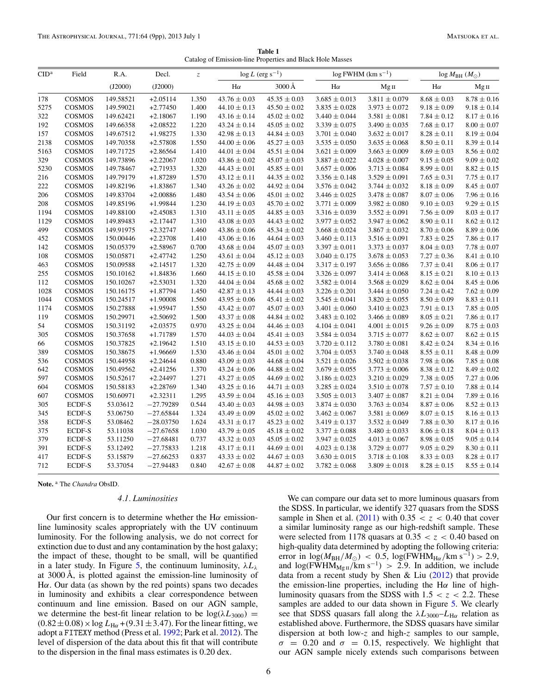**Table 1** Catalog of Emission-line Properties and Black Hole Masses

<span id="page-5-0"></span>

| CID <sup>a</sup> | Field         | R.A.      | Decl.       | $\ensuremath{\mathnormal{Z}}$ | $\log L$ (erg s <sup>-1</sup> ) |                   | $\log$ FWHM (km s <sup>-1</sup> ) |                   | $log M_{BH} (M_{\odot})$ |                 |
|------------------|---------------|-----------|-------------|-------------------------------|---------------------------------|-------------------|-----------------------------------|-------------------|--------------------------|-----------------|
|                  |               | (J2000)   | (J2000)     |                               | $H\alpha$                       | $3000 \text{\AA}$ | $H\alpha$                         | $Mg$ II           | $H\alpha$                | MgII            |
| 178              | COSMOS        | 149.58521 | $+2.05114$  | 1.350                         | $43.76 \pm 0.03$                | $45.35 \pm 0.03$  | $3.685 \pm 0.013$                 | $3.811 \pm 0.079$ | $8.68 \pm 0.03$          | $8.78 \pm 0.16$ |
| 5275             | COSMOS        | 149.59021 | $+2.77450$  | 1.400                         | $44.10 \pm 0.13$                | $45.50 \pm 0.02$  | $3.835 \pm 0.028$                 | $3.973 \pm 0.072$ | $9.18 \pm 0.09$          | $9.18 \pm 0.14$ |
| 322              | COSMOS        | 149.62421 | $+2.18067$  | 1.190                         | $43.16 \pm 0.14$                | $45.02 \pm 0.02$  | $3.440 \pm 0.044$                 | $3.581 \pm 0.081$ | $7.84 \pm 0.12$          | $8.17 \pm 0.16$ |
| 192              | COSMOS        | 149.66358 | $+2.08522$  | 1.220                         | $43.24 \pm 0.14$                | $45.05 \pm 0.02$  | $3.339 \pm 0.075$                 | $3.490 \pm 0.035$ | $7.68 \pm 0.17$          | $8.00 \pm 0.07$ |
| 157              | COSMOS        | 149.67512 | $+1.98275$  | 1.330                         | $42.98 \pm 0.13$                | $44.84 \pm 0.03$  | $3.701 \pm 0.040$                 | $3.632 \pm 0.017$ | $8.28 \pm 0.11$          | $8.19 \pm 0.04$ |
| 2138             | COSMOS        | 149.70358 | $+2.57808$  | 1.550                         | $44.00 \pm 0.06$                | $45.27 \pm 0.03$  | $3.535 \pm 0.050$                 | $3.635 \pm 0.068$ | $8.50 \pm 0.11$          | $8.39 \pm 0.14$ |
| 5163             | COSMOS        | 149.71725 | $+2.86564$  | 1.410                         | $44.01 \pm 0.04$                | $45.51 \pm 0.04$  | $3.621 \pm 0.009$                 | $3.663 \pm 0.009$ | $8.69 \pm 0.03$          | $8.56 \pm 0.02$ |
| 329              | COSMOS        | 149.73896 | $+2.22067$  | 1.020                         | $43.86 \pm 0.02$                | $45.07 \pm 0.03$  | $3.887 \pm 0.022$                 | $4.028 \pm 0.007$ | $9.15 \pm 0.05$          | $9.09 \pm 0.02$ |
| 5230             | COSMOS        | 149.78467 | $+2.71933$  | 1.320                         | $44.43 \pm 0.01$                | $45.85 \pm 0.01$  | $3.657 \pm 0.006$                 | $3.713 \pm 0.084$ | $8.99 \pm 0.01$          | $8.82 \pm 0.15$ |
| 216              | COSMOS        | 149.79179 | $+1.87289$  | 1.570                         | $43.12 \pm 0.11$                | $44.35 \pm 0.02$  | $3.356 \pm 0.148$                 | $3.529 \pm 0.091$ | $7.65 \pm 0.31$          | $7.75 \pm 0.17$ |
| $222\,$          | COSMOS        | 149.82196 | $+1.83867$  | 1.340                         | $43.26 \pm 0.02$                | $44.92 \pm 0.04$  | $3.576 \pm 0.042$                 | $3.744 \pm 0.032$ | $8.18 \pm 0.09$          | $8.45 \pm 0.07$ |
| 206              | <b>COSMOS</b> | 149.83704 | $+2.00886$  | 1.480                         | $43.54 \pm 0.06$                | $45.01 \pm 0.02$  | $3.446 \pm 0.025$                 | $3.478 \pm 0.087$ | $8.07 \pm 0.06$          | $7.96 \pm 0.16$ |
| 208              | COSMOS        | 149.85196 | $+1.99844$  | 1.230                         | $44.19 \pm 0.03$                | $45.70 \pm 0.02$  | $3.771 \pm 0.009$                 | $3.982 \pm 0.080$ | $9.10 \pm 0.03$          | $9.29 \pm 0.15$ |
| 1194             | COSMOS        | 149.88100 | $+2.45083$  | 1.310                         | $43.11 \pm 0.05$                | $44.85 \pm 0.03$  | $3.316 \pm 0.039$                 | $3.552 \pm 0.091$ | $7.56 \pm 0.09$          | $8.03 \pm 0.17$ |
| 1129             | COSMOS        | 149.89483 | $+2.17447$  | 1.310                         | $43.08 \pm 0.03$                | $44.43 \pm 0.02$  | $3.977 \pm 0.052$                 | $3.947 \pm 0.062$ | $8.90 \pm 0.11$          | $8.62 \pm 0.12$ |
| 499              | COSMOS        | 149.91975 | $+2.32747$  | 1.460                         | $43.86 \pm 0.06$                | $45.34 \pm 0.02$  | $3.668 \pm 0.024$                 | $3.867 \pm 0.032$ | $8.70 \pm 0.06$          | $8.89 \pm 0.06$ |
| 452              | COSMOS        | 150.00446 | $+2.23708$  | 1.410                         | $43.06 \pm 0.16$                | $44.64 \pm 0.03$  | $3.460 \pm 0.113$                 | $3.516 \pm 0.091$ | $7.83 \pm 0.25$          | $7.86 \pm 0.17$ |
| 142              | COSMOS        | 150.05379 | $+2.58967$  | 0.700                         | $43.68 \pm 0.04$                | $45.07 \pm 0.03$  | $3.397 \pm 0.011$                 | $3.373 \pm 0.037$ | $8.04 \pm 0.03$          | $7.78 \pm 0.07$ |
| 108              | COSMOS        | 150.05871 | $+2.47742$  | 1.250                         | $43.61 \pm 0.04$                | $45.12 \pm 0.03$  | $3.040 \pm 0.175$                 | $3.678 \pm 0.053$ | $7.27 \pm 0.36$          | $8.41 \pm 0.10$ |
| 463              | COSMOS        | 150.09588 | $+2.14517$  | 1.320                         | $42.75 \pm 0.09$                | $44.48 \pm 0.04$  | $3.317 \pm 0.197$                 | $3.656 \pm 0.086$ | $7.37 \pm 0.41$          | $8.06 \pm 0.17$ |
| 255              | COSMOS        | 150.10162 | $+1.84836$  | 1.660                         | $44.15 \pm 0.10$                | $45.58 \pm 0.04$  | $3.326 \pm 0.097$                 | $3.414 \pm 0.068$ | $8.15 \pm 0.21$          | $8.10 \pm 0.13$ |
| 112              | COSMOS        | 150.10267 | $+2.53031$  | 1.320                         | $44.04 \pm 0.04$                | $45.68 \pm 0.02$  | $3.582 \pm 0.014$                 | $3.568 \pm 0.029$ | $8.62 \pm 0.04$          | $8.45 \pm 0.06$ |
| 1028             | COSMOS        | 150.16175 | $+1.87794$  | 1.450                         | $42.87 \pm 0.13$                | $44.44 \pm 0.03$  | $3.226 \pm 0.201$                 | $3.444 \pm 0.050$ | $7.24 \pm 0.42$          | $7.62 \pm 0.09$ |
| 1044             | COSMOS        | 150.24517 | $+1.90008$  | 1.560                         | $43.95 \pm 0.06$                | $45.41 \pm 0.02$  | $3.545 \pm 0.041$                 | $3.820 \pm 0.055$ | $8.50 \pm 0.09$          | $8.83 \pm 0.11$ |
| 1174             | COSMOS        | 150.27888 | $+1.95947$  | 1.550                         | $43.42 \pm 0.07$                | $45.07 \pm 0.03$  | $3.401 \pm 0.060$                 | $3.410 \pm 0.023$ | $7.91\pm0.13$            | $7.85 \pm 0.05$ |
| 119              | COSMOS        | 150.29971 | $+2.50692$  | 1.500                         | $43.37 \pm 0.08$                | $44.84 \pm 0.02$  | $3.483 \pm 0.102$                 | $3.466 \pm 0.089$ | $8.05 \pm 0.21$          | $7.86 \pm 0.17$ |
| 54               | COSMOS        | 150.31192 | $+2.03575$  | 0.970                         | $43.25 \pm 0.04$                | $44.46 \pm 0.03$  | $4.104 \pm 0.041$                 | $4.001 \pm 0.015$ | $9.26 \pm 0.09$          | $8.75 \pm 0.03$ |
| 305              | COSMOS        | 150.37658 | $+1.71789$  | 1.570                         | $44.03 \pm 0.04$                | $45.41 \pm 0.03$  | $3.584 \pm 0.034$                 | $3.715 \pm 0.077$ | $8.62 \pm 0.07$          | $8.62 \pm 0.15$ |
| 66               | COSMOS        | 150.37825 | $+2.19642$  | 1.510                         | $43.15 \pm 0.10$                | $44.53 \pm 0.03$  | $3.720 \pm 0.112$                 | $3.780 \pm 0.081$ | $8.42 \pm 0.24$          | $8.34 \pm 0.16$ |
| 389              | COSMOS        | 150.38675 | $+1.96669$  | 1.530                         | $43.46 \pm 0.04$                | $45.01 \pm 0.02$  | $3.704 \pm 0.053$                 | $3.740 \pm 0.048$ | $8.55 \pm 0.11$          | $8.48 \pm 0.09$ |
| 536              | COSMOS        | 150.44958 | $+2.24644$  | 0.880                         | $43.09 \pm 0.03$                | $44.68 \pm 0.04$  | $3.521 \pm 0.026$                 | $3.502 \pm 0.038$ | $7.98 \pm 0.06$          | $7.85 \pm 0.08$ |
| 642              | COSMOS        | 150.49562 | $+2.41256$  | 1.370                         | $43.24 \pm 0.06$                | $44.88 \pm 0.02$  | $3.679 \pm 0.055$                 | $3.773 \pm 0.006$ | $8.38 \pm 0.12$          | $8.49 \pm 0.02$ |
| 597              | COSMOS        | 150.52617 | $+2.24497$  | 1.271                         | $43.27 \pm 0.05$                | $44.69 \pm 0.02$  | $3.186 \pm 0.023$                 | $3.210 \pm 0.029$ | $7.38 \pm 0.05$          | $7.27 \pm 0.06$ |
| 604              | COSMOS        | 150.58183 | $+2.28769$  | 1.340                         | $43.25 \pm 0.16$                | $44.71 \pm 0.03$  | $3.285 \pm 0.024$                 | $3.510 \pm 0.078$ | $7.57 \pm 0.10$          | $7.88 \pm 0.14$ |
| 607              | COSMOS        | 150.60971 | $+2.32311$  | 1.295                         | $43.59 \pm 0.04$                | $45.16 \pm 0.03$  | $3.505 \pm 0.013$                 | $3.407 \pm 0.087$ | $8.21 \pm 0.04$          | $7.89 \pm 0.16$ |
| 305              | ECDF-S        | 53.03612  | $-27.79289$ | 0.544                         | $43.40 \pm 0.03$                | $44.98 \pm 0.03$  | $3.874 \pm 0.030$                 | $3.763 \pm 0.034$ | $8.87 \pm 0.06$          | $8.52 \pm 0.13$ |
| 345              | <b>ECDF-S</b> | 53.06750  | $-27.65844$ | 1.324                         | $43.49 \pm 0.09$                | $45.02 \pm 0.02$  | $3.462 \pm 0.067$                 | $3.581 \pm 0.069$ | $8.07 \pm 0.15$          | $8.16 \pm 0.13$ |
| 358              | <b>ECDF-S</b> | 53.08462  | $-28.03750$ | 1.624                         | $43.31 \pm 0.17$                | $45.23 \pm 0.02$  | $3.419 \pm 0.137$                 | $3.532 \pm 0.049$ | $7.88 \pm 0.30$          | $8.17 \pm 0.16$ |
| 375              | ECDF-S        | 53.11038  | $-27.67658$ | 1.030                         | $43.79 \pm 0.05$                | $45.18 \pm 0.02$  | $3.377 \pm 0.088$                 | $3.480 \pm 0.033$ | $8.06 \pm 0.18$          | $8.04 \pm 0.13$ |
| 379              | <b>ECDF-S</b> | 53.11250  | $-27.68481$ | 0.737                         | $43.32 \pm 0.03$                | $45.05 \pm 0.02$  | $3.947 \pm 0.025$                 | $4.013 \pm 0.067$ | $8.98 \pm 0.05$          | $9.05 \pm 0.14$ |
| 391              | <b>ECDF-S</b> | 53.12492  | $-27.75833$ | 1.218                         | $43.17 \pm 0.11$                | $44.69 \pm 0.01$  | $4.023 \pm 0.138$                 | $3.729 \pm 0.077$ | $9.05 \pm 0.29$          | $8.30 \pm 0.11$ |
| 417              | <b>ECDF-S</b> | 53.15879  | $-27.66253$ | 0.837                         | $43.33 \pm 0.02$                | $44.67 \pm 0.03$  | $3.630 \pm 0.015$                 | $3.718 \pm 0.108$ | $8.33 \pm 0.03$          | $8.28 \pm 0.17$ |
| 712              | <b>ECDF-S</b> | 53.37054  | $-27.94483$ | 0.840                         | $42.67 \pm 0.08$                | $44.87 \pm 0.02$  | $3.782 \pm 0.068$                 | $3.809 \pm 0.018$ | $8.28 \pm 0.15$          | $8.55 \pm 0.14$ |
|                  |               |           |             |                               |                                 |                   |                                   |                   |                          |                 |

**Note.** <sup>a</sup> The *Chandra* ObsID.

### *4.1. Luminosities*

Our first concern is to determine whether the H*α* emissionline luminosity scales appropriately with the UV continuum luminosity. For the following analysis, we do not correct for extinction due to dust and any contamination by the host galaxy; the impact of these, thought to be small, will be quantified in a later study. In Figure [5,](#page-6-0) the continuum luminosity,  $\lambda L_{\lambda}$ at 3000 Å, is plotted against the emission-line luminosity of H*α*. Our data (as shown by the red points) spans two decades in luminosity and exhibits a clear correspondence between continuum and line emission. Based on our AGN sample, we determine the best-fit linear relation to be  $log(\lambda L_{3000})$  =  $(0.82 \pm 0.08) \times \log L_{\text{H}\alpha}$  +(9.31 ± 3.47). For the linear fitting, we adopt a FITEXY method (Press et al. [1992;](#page-8-0) Park et al. [2012\)](#page-8-0). The level of dispersion of the data about this fit that will contribute to the dispersion in the final mass estimates is 0.20 dex.

We can compare our data set to more luminous quasars from the SDSS. In particular, we identify 327 quasars from the SDSS sample in Shen et al.  $(2011)$  with  $0.35 < z < 0.40$  that cover a similar luminosity range as our high-redshift sample. These were selected from 1178 quasars at  $0.35 < z < 0.40$  based on high-quality data determined by adopting the following criteria: error in  $\log(M_{\text{BH}}/M_{\odot})$  < 0.5,  $\log(\text{FWHM}_{\text{H}\alpha}/\text{km s}^{-1})$  > 2.9, and  $\log(\text{FWHM}_{\text{Mg}_{II}}/\text{km s}^{-1})$  > 2.9. In addition, we include data from a recent study by Shen & Liu [\(2012\)](#page-8-0) that provide the emission-line properties, including the H*α* line of highluminosity quasars from the SDSS with  $1.5 < z < 2.2$ . These samples are added to our data shown in Figure [5.](#page-6-0) We clearly see that SDSS quasars fall along the  $\lambda L_{3000} - L_{\text{H}\alpha}$  relation as established above. Furthermore, the SDSS quasars have similar dispersion at both low-*z* and high-*z* samples to our sample,  $\sigma = 0.20$  and  $\sigma = 0.15$ , respectively. We highlight that our AGN sample nicely extends such comparisons between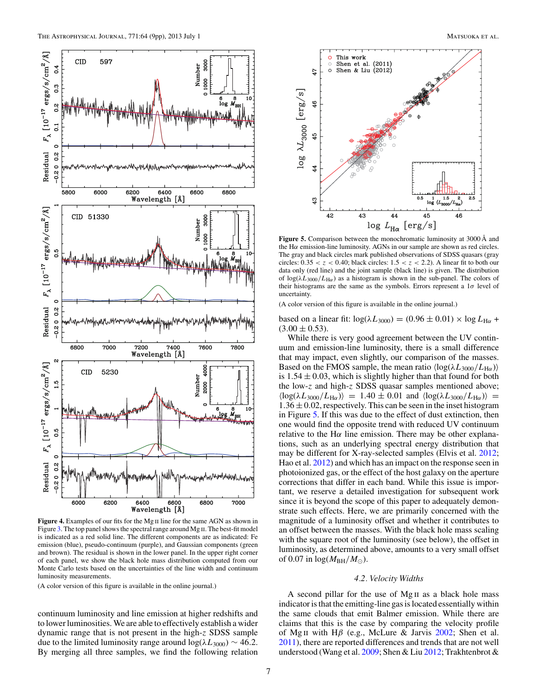<span id="page-6-0"></span>

Figure 4. Examples of our fits for the Mg II line for the same AGN as shown in Figure [3.](#page-4-0) The top panel shows the spectral range around Mg II. The best-fit model is indicated as a red solid line. The different components are as indicated: Fe emission (blue), pseudo-continuum (purple), and Gaussian components (green and brown). The residual is shown in the lower panel. In the upper right corner of each panel, we show the black hole mass distribution computed from our Monte Carlo tests based on the uncertainties of the line width and continuum luminosity measurements.

(A color version of this figure is available in the online journal.)

continuum luminosity and line emission at higher redshifts and to lower luminosities. We are able to effectively establish a wider dynamic range that is not present in the high-*z* SDSS sample due to the limited luminosity range around  $log(\lambda L_{3000}) \sim 46.2$ . By merging all three samples, we find the following relation



**Figure 5.** Comparison between the monochromatic luminosity at 3000 Å and the H*α* emission-line luminosity. AGNs in our sample are shown as red circles. The gray and black circles mark published observations of SDSS quasars (gray circles:  $0.35 < z < 0.40$ ; black circles:  $1.5 < z < 2.2$ ). A linear fit to both our data only (red line) and the joint sample (black line) is given. The distribution of  $log(\lambda L_{3000}/L_{H\alpha})$  as a histogram is shown in the sub-panel. The colors of their histograms are the same as the symbols. Errors represent a 1*σ* level of uncertainty.

(A color version of this figure is available in the online journal.)

based on a linear fit:  $log(\lambda L_{3000}) = (0.96 \pm 0.01) \times log L_{H\alpha}$  $(3.00 \pm 0.53)$ .

While there is very good agreement between the UV continuum and emission-line luminosity, there is a small difference that may impact, even slightly, our comparison of the masses. Based on the FMOS sample, the mean ratio  $\langle \log(\lambda L_{3000}/L_{H\alpha}) \rangle$ is  $1.54 \pm 0.03$ , which is slightly higher than that found for both the low-*z* and high-*z* SDSS quasar samples mentioned above;  $\langle \log(\lambda L_{3000}/L_{\text{H}\alpha}) \rangle$  = 1.40 ± 0.01 and  $\langle \log(\lambda L_{3000}/L_{\text{H}\alpha}) \rangle$  =  $1.36 \pm 0.02$ , respectively. This can be seen in the inset histogram in Figure 5. If this was due to the effect of dust extinction, then one would find the opposite trend with reduced UV continuum relative to the H*α* line emission. There may be other explanations, such as an underlying spectral energy distribution that may be different for X-ray-selected samples (Elvis et al. [2012;](#page-8-0) Hao et al. [2012\)](#page-8-0) and which has an impact on the response seen in photoionized gas, or the effect of the host galaxy on the aperture corrections that differ in each band. While this issue is important, we reserve a detailed investigation for subsequent work since it is beyond the scope of this paper to adequately demonstrate such effects. Here, we are primarily concerned with the magnitude of a luminosity offset and whether it contributes to an offset between the masses. With the black hole mass scaling with the square root of the luminosity (see below), the offset in luminosity, as determined above, amounts to a very small offset of 0.07 in  $log(M_{BH}/M_{\odot})$ .

## *4.2. Velocity Widths*

A second pillar for the use of Mg ii as a black hole mass indicator is that the emitting-line gas is located essentially within the same clouds that emit Balmer emission. While there are claims that this is the case by comparing the velocity profile of Mg<sub>II</sub> with H $\beta$  (e.g., McLure & Jarvis [2002;](#page-8-0) Shen et al. [2011\)](#page-8-0), there are reported differences and trends that are not well understood (Wang et al. [2009;](#page-8-0) Shen & Liu [2012;](#page-8-0) Trakhtenbrot &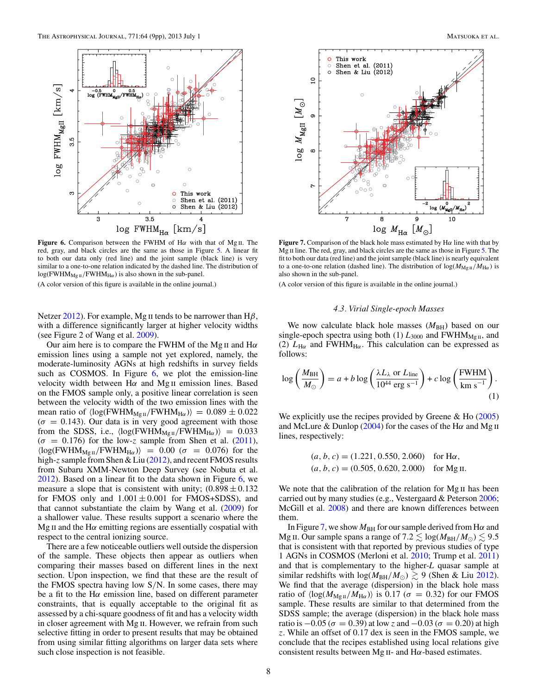

**Figure 6.** Comparison between the FWHM of H $\alpha$  with that of Mg II. The red, gray, and black circles are the same as those in Figure [5.](#page-6-0) A linear fit to both our data only (red line) and the joint sample (black line) is very similar to a one-to-one relation indicated by the dashed line. The distribution of log(FWHM<sub>Mg II</sub>/FWHM<sub>Hα</sub>) is also shown in the sub-panel.

(A color version of this figure is available in the online journal.)

Netzer [2012\)](#page-8-0). For example, Mg ii tends to be narrower than H*β*, with a difference significantly larger at higher velocity widths (see Figure 2 of Wang et al. [2009\)](#page-8-0).

Our aim here is to compare the FWHM of the Mg ii and H*α* emission lines using a sample not yet explored, namely, the moderate-luminosity AGNs at high redshifts in survey fields such as COSMOS. In Figure 6, we plot the emission-line velocity width between H*α* and Mg ii emission lines. Based on the FMOS sample only, a positive linear correlation is seen between the velocity width of the two emission lines with the mean ratio of  $\langle \log(FWHM_{MgII}/FWHM_{H\alpha}) \rangle = 0.089 \pm 0.022$  $(\sigma = 0.143)$ . Our data is in very good agreement with those from the SDSS, i.e.,  $\langle \log(FWHM_{Mg\text{II}}/FWHM_{H\alpha}) \rangle = 0.033$  $(\sigma = 0.176)$  for the low-*z* sample from Shen et al. [\(2011\)](#page-8-0),  $\langle \log(FWHM_{\text{MgII}}/FWHM_{\text{H}\alpha}) \rangle = 0.00 \ (\sigma = 0.076) \text{ for the}$ high-*z* sample from Shen & Liu [\(2012\)](#page-8-0), and recent FMOS results from Subaru XMM-Newton Deep Survey (see Nobuta et al. [2012\)](#page-8-0). Based on a linear fit to the data shown in Figure 6, we measure a slope that is consistent with unity;  $(0.898 \pm 0.132)$ for FMOS only and  $1.001 \pm 0.001$  for FMOS+SDSS), and that cannot substantiate the claim by Wang et al. [\(2009\)](#page-8-0) for a shallower value. These results support a scenario where the Mg II and the H $\alpha$  emitting regions are essentially cospatial with respect to the central ionizing source.

There are a few noticeable outliers well outside the dispersion of the sample. These objects then appear as outliers when comparing their masses based on different lines in the next section. Upon inspection, we find that these are the result of the FMOS spectra having low S*/*N. In some cases, there may be a fit to the H*α* emission line, based on different parameter constraints, that is equally acceptable to the original fit as assessed by a chi-square goodness of fit and has a velocity width in closer agreement with Mg II. However, we refrain from such selective fitting in order to present results that may be obtained from using similar fitting algorithms on larger data sets where such close inspection is not feasible.



**Figure 7.** Comparison of the black hole mass estimated by  $H\alpha$  line with that by Mg II line. The red, gray, and black circles are the same as those in Figure [5.](#page-6-0) The fit to both our data (red line) and the joint sample (black line) is nearly equivalent to a one-to-one relation (dashed line). The distribution of  $\log(M_{\text{Mg\textsc{ii}}}/M_{\text{H}\alpha})$  is also shown in the sub-panel.

(A color version of this figure is available in the online journal.)

#### *4.3. Virial Single-epoch Masses*

We now calculate black hole masses  $(M_{BH})$  based on our single-epoch spectra using both (1)  $L_{3000}$  and FWHM<sub>MgII</sub>, and (2)  $L_{\text{H}\alpha}$  and FWHM<sub>H $\alpha$ </sub>. This calculation can be expressed as follows:

$$
\log\left(\frac{M_{\rm BH}}{M_{\odot}}\right) = a + b \log\left(\frac{\lambda L_{\lambda} \text{ or } L_{\rm line}}{10^{44} \text{ erg s}^{-1}}\right) + c \log\left(\frac{\text{FWHM}}{\text{km s}^{-1}}\right). \tag{1}
$$

We explicitly use the recipes provided by Greene  $\&$  Ho [\(2005\)](#page-8-0) and McLure & Dunlop [\(2004\)](#page-8-0) for the cases of the H*α* and Mg ii lines, respectively:

$$
(a, b, c) = (1.221, 0.550, 2.060)
$$
 for H $\alpha$ ,  
 $(a, b, c) = (0.505, 0.620, 2.000)$  for Mg II.

We note that the calibration of the relation for Mg<sub>II</sub> has been carried out by many studies (e.g., Vestergaard & Peterson [2006;](#page-8-0) McGill et al. [2008\)](#page-8-0) and there are known differences between them.

In Figure 7, we show  $M_{BH}$  for our sample derived from H $\alpha$  and Mg II. Our sample spans a range of  $7.2 \lesssim \log(M_{\rm BH}/M_{\odot}) \lesssim 9.5$ that is consistent with that reported by previous studies of type 1 AGNs in COSMOS (Merloni et al. [2010;](#page-8-0) Trump et al. [2011\)](#page-8-0) and that is complementary to the higher-*L* quasar sample at similar redshifts with  $\log(M_{\text{BH}}/M_{\odot}) \gtrsim 9$  (Shen & Liu [2012\)](#page-8-0). We find that the average (dispersion) in the black hole mass ratio of  $\langle \log(M_{Mg_{II}}/M_{H\alpha}) \rangle$  is 0.17 ( $\sigma = 0.32$ ) for our FMOS sample. These results are similar to that determined from the SDSS sample; the average (dispersion) in the black hole mass ratio is  $-0.05 (\sigma = 0.39)$  at low *z* and  $-0.03 (\sigma = 0.20)$  at high *z*. While an offset of 0.17 dex is seen in the FMOS sample, we conclude that the recipes established using local relations give consistent results between Mg ii- and H*α*-based estimates.